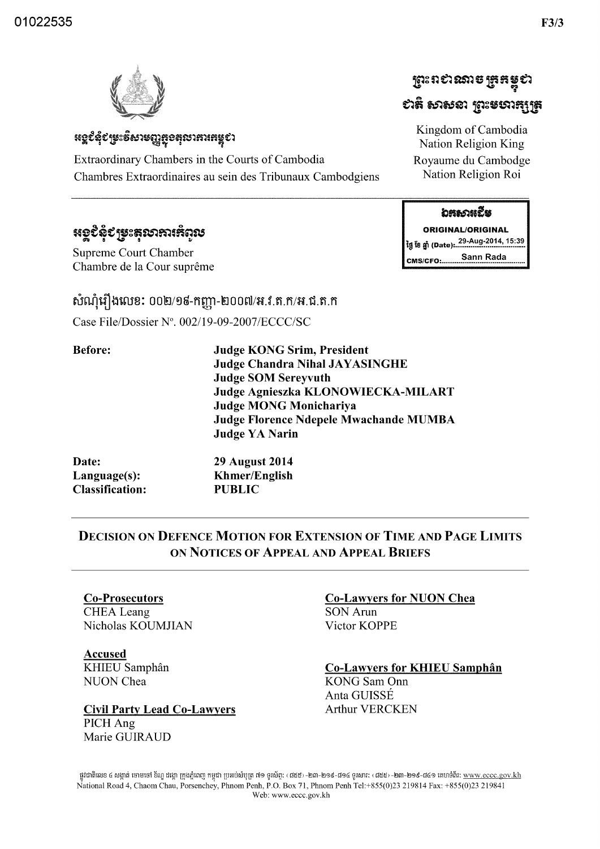



## **៶**េខ្ពបំពុំបម្រះទិសាមញ្ញត្ថុខតុលាគារតម្លុបា

Extraordinary Chambers in the Courts of Cambodia Chambres Extraordinaires au sein des Tribunaux Cambodgiens

# **หอรรช**์รังสะราชาวะมะ

**Supreme Court Chamber** Chambre de la Cour suprême

### សំណុំរឿងលេខ: ០០២/១៩-កញ្ញា-២០០៧/អ.វ.ត.ក/អ.ជ.ត.ក

Case File/Dossier N°, 002/19-09-2007/ECCC/SC

| <b>Before:</b> | <b>Judge KONG Srim, President</b><br><b>Judge Chandra Nihal JAYASINGHE</b><br><b>Judge SOM Sereyvuth</b><br>Judge Agnieszka KLONOWIECKA-MILART |
|----------------|------------------------------------------------------------------------------------------------------------------------------------------------|
|                | <b>Judge MONG Monichariya</b>                                                                                                                  |
|                | Judge Florence Ndepele Mwachande MUMBA                                                                                                         |
|                | <b>Judge YA Narin</b>                                                                                                                          |
| Date:          | <b>29 August 2014</b>                                                                                                                          |
| Language(s):   | <b>Khmer/English</b>                                                                                                                           |

**PUBLIC** 

### **DECISION ON DEFENCE MOTION FOR EXTENSION OF TIME AND PAGE LIMITS** ON NOTICES OF APPEAL AND APPEAL BRIEFS

## **Co-Prosecutors**

**Classification:** 

**CHEA** Leang Nicholas KOUMJIAN

**Accused** KHIEU Samphân **NUON** Chea

**Civil Party Lead Co-Lawyers** PICH Ang Marie GUIRAUD

#### **Co-Lawyers for NUON Chea**

**SON Arun** Victor KOPPE

**Co-Lawyers for KHIEU Samphân** 

**KONG** Sam Onn Anta GUISSÉ **Arthur VERCKEN** 

ផ្លូវជាតិលេខ ៤ សង្កាត់ ចោមចៅ ខ័ណ្ឌ ដង្កោ ក្រុងភ្នំពេញ កម្ពុជា ប្រអប់សំបុត្រ ៧១ ទូរស័ព្ទៈ (៨៥៥-១០៤ ទូរសារ: ‹៨៥៥› -២៣-២១៩-៨៤១ តេហទំព័រ: <u>www.eccc.gov.kh</u> National Road 4, Chaom Chau, Porsenchey, Phnom Penh, P.O. Box 71, Phnom Penh Tel:+855(0)23 219814 Fax: +855(0)23 219841 Web: www.eccc.gov.kh

#### **อธร**องเฉีย

**ព្រះព**ខាងរាត អ៊ូងដទូបា

ยาลิ ธาธรา ธาะธยาธุบุธ

Kingdom of Cambodia

Nation Religion King

Royaume du Cambodge Nation Religion Roi

**ORIGINAL/ORIGINAL** Sann Rada **CMS/CFO:........**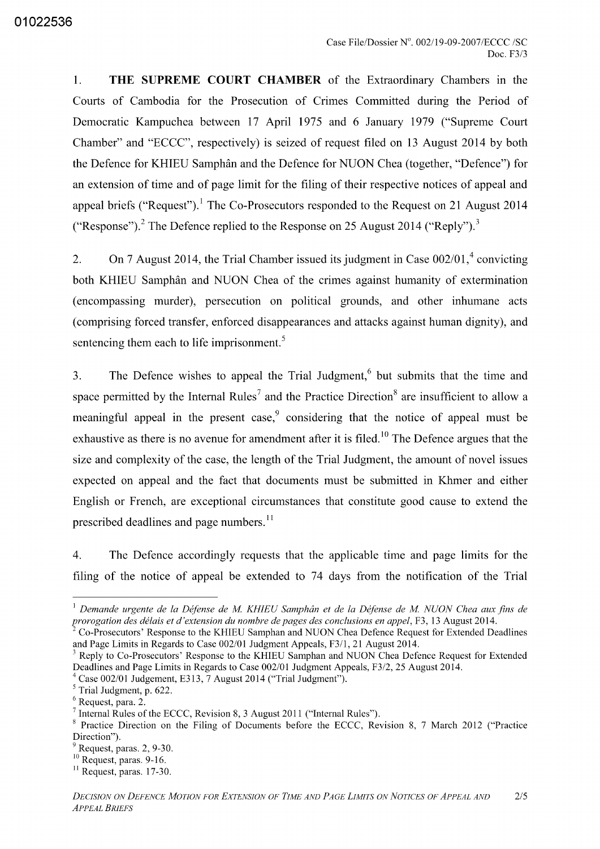1. **THE SUPREME COURT CHAMBER** of the Extraordinary Chambers in the Courts of Cambodia for the Prosecution of Crimes Committed during the Period of Democratic Kampuchea between 17 April 1975 and 6 January 1979 ("Supreme Court Chamber" and "ECCC", respectively) is seized of request filed on 13 August 2014 by both the Defence for KHIEU Samphan and the Defence for NUON Chea (together, "Defence") for an extension of time and of page limit for the filing of their respective notices of appeal and appeal briefs ("Request").<sup>1</sup> The Co-Prosecutors responded to the Request on 21 August 2014 ("Response").<sup>2</sup> The Defence replied to the Response on 25 August 2014 ("Reply").<sup>3</sup>

2. On 7 August 2014, the Trial Chamber issued its judgment in Case  $002/01$ ,<sup>4</sup> convicting both KHIEU Samphân and NUON Chea of the crimes against humanity of extermination (encompassing murder), persecution on political grounds, and other inhumane acts (comprising forced transfer, enforced disappearances and attacks against human dignity), and sentencing them each to life imprisonment.<sup>5</sup>

3. The Defence wishes to appeal the Trial Judgment, $6$  but submits that the time and space permitted by the Internal Rules<sup>7</sup> and the Practice Direction<sup>8</sup> are insufficient to allow a meaningful appeal in the present case,  $\degree$  considering that the notice of appeal must be exhaustive as there is no avenue for amendment after it is filed.<sup>10</sup> The Defence argues that the size and complexity of the case, the length of the Trial Judgment, the amount of novel issues expected on appeal and the fact that documents must be submitted in Khmer and either English or French, are exceptional circumstances that constitute good cause to extend the prescribed deadlines and page numbers.<sup>11</sup>

4. The Defence accordingly requests that the applicable time and page limits for the filing of the notice of appeal be extended to 74 days from the notification of the Trial

<sup>1</sup>*Demande urgente de la Defense de M KHIEU Samphan et de la Defense de M NUON Chea aux fins de prorogation des delais et d'extension du nombre de pages des conclusions en appel,* F3, 13 August 2014.

<sup>2</sup> Co-Prosecutors' Response to the KHLEU Samphan and NUON Chea Defence Request for Extended Deadlines and Page Limits in Regards to Case 002/01 Judgment Appeals, F311, 21 August 2014.

<sup>&</sup>lt;sup>3</sup> Reply to Co-Prosecutors' Response to the KHIEU Samphan and NUON Chea Defence Request for Extended Deadlines and Page Limits in Regards to Case 002/01 Judgment Appeals, F312, 25 August 2014.

 $4 \text{ Case } 002/01 \text{ Judgement, E313, 7 August } 2014 \text{ ("Trial Judgment").}$ 

 $<sup>5</sup>$  Trial Judgment, p. 622.</sup>

<sup>6</sup> Request, para. 2.

<sup>7</sup> Internal Rules of the ECCC, Revision 8, 3 August 2011 ("Internal Rules").

<sup>8</sup> Practice Direction on the Filing of Documents before the ECCC, Revision 8, 7 March 2012 ("Practice Direction").

Request, paras. 2, 9-30.

<sup>&</sup>lt;sup>10</sup> Request, paras. 9-16.

 $<sup>11</sup>$  Request, paras. 17-30.</sup>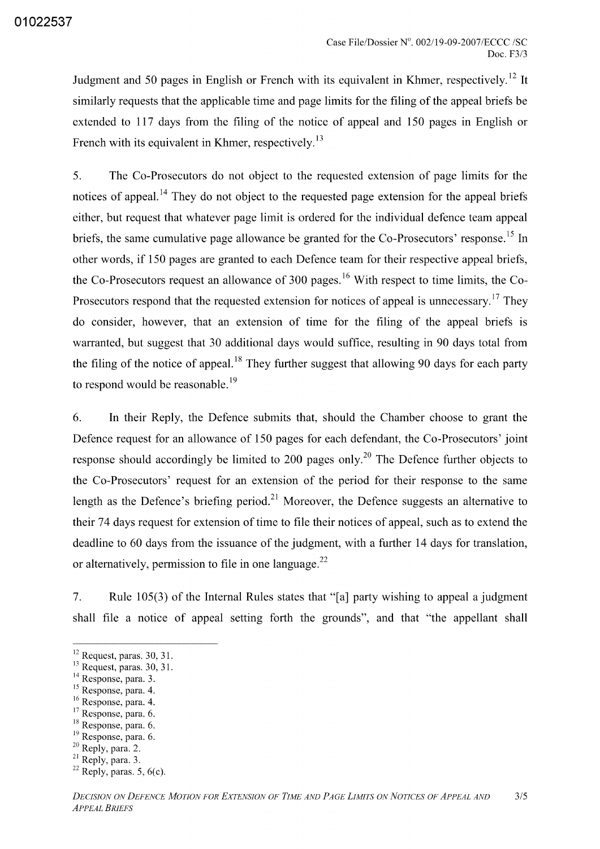Judgment and 50 pages in English or French with its equivalent in Khmer, respectively.<sup>12</sup> It similarly requests that the applicable time and page limits for the filing of the appeal briefs be extended to 117 days from the filing of the notice of appeal and 150 pages in English or French with its equivalent in Khmer, respectively.<sup>13</sup>

5. The Co-Prosecutors do not object to the requested extension of page limits for the notices of appeal.<sup>14</sup> They do not object to the requested page extension for the appeal briefs either, but request that whatever page limit is ordered for the individual defence team appeal briefs, the same cumulative page allowance be granted for the Co-Prosecutors' response.<sup>15</sup> In other words, if 150 pages are granted to each Defence team for their respective appeal briefs, the Co-Prosecutors request an allowance of 300 pages.<sup>16</sup> With respect to time limits, the Co-Prosecutors respond that the requested extension for notices of appeal is unnecessary.<sup>17</sup> They do consider, however, that an extension of time for the filing of the appeal briefs is warranted, but suggest that 30 additional days would suffice, resulting in 90 days total from the filing of the notice of appeal.<sup>18</sup> They further suggest that allowing 90 days for each party to respond would be reasonable.<sup>19</sup>

6. **In** their Reply, the Defence submits that, should the Chamber choose to grant the Defence request for an allowance of 150 pages for each defendant, the Co-Prosecutors' joint response should accordingly be limited to 200 pages only.<sup>20</sup> The Defence further objects to the Co-Prosecutors' request for an extension of the period for their response to the same length as the Defence's briefing period.<sup>21</sup> Moreover, the Defence suggests an alternative to their 74 days request for extension of time to file their notices of appeal, such as to extend the deadline to 60 days from the issuance of the judgment, with a further 14 days for translation, or alternatively, permission to file in one language.<sup>22</sup>

7. Rule 105(3) of the Internal Rules states that "[a] party wishing to appeal a judgment shall file a notice of appeal setting forth the grounds", and that "the appellant shall

- 16 Response, para. 4.
- <sup>17</sup> Response, para. 6.
- <sup>18</sup> Response, para. 6.
- <sup>19</sup> Response, para. 6.
- <sup>20</sup> Reply, para. 2.

 $12$  Request, paras. 30, 31.

<sup>&</sup>lt;sup>13</sup> Request, paras. 30, 31.

<sup>&</sup>lt;sup>14</sup> Response, para. 3.

<sup>&</sup>lt;sup>15</sup> Response, para. 4.

<sup>&</sup>lt;sup>21</sup> Reply, para. 3.

 $22$  Reply, paras. 5, 6(c).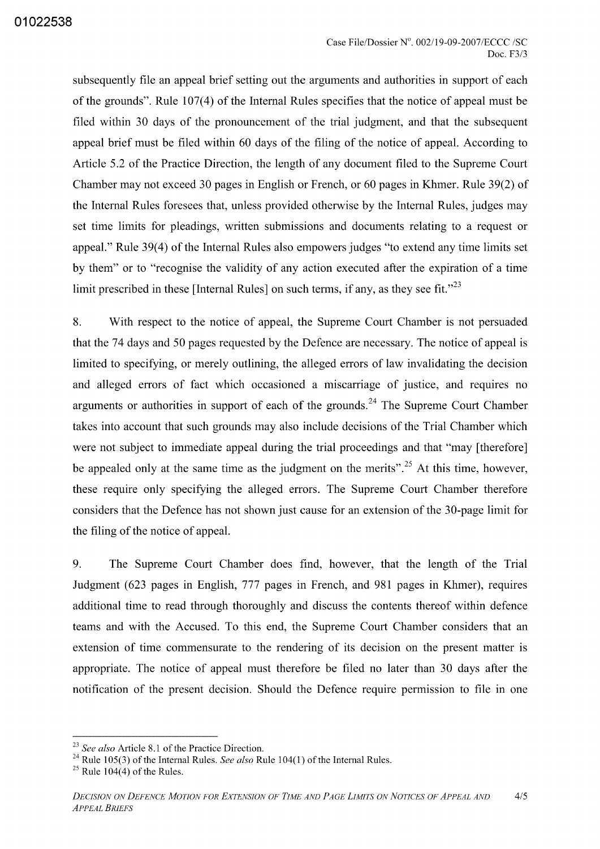subsequently file an appeal brief setting out the arguments and authorities in support of each of the grounds". Rule 107(4) of the Internal Rules specifies that the notice of appeal must be filed within 30 days of the pronouncement of the trial judgment, and that the subsequent appeal brief must be filed within 60 days of the filing of the notice of appeal. According to Article 5.2 of the Practice Direction, the length of any document filed to the Supreme Court Chamber may not exceed 30 pages in English or French, or 60 pages in Khmer. Rule 39(2) of the Internal Rules foresees that, unless provided otherwise by the Internal Rules, judges may set time limits for pleadings, written submissions and documents relating to a request or appeal." Rule 39(4) of the Internal Rules also empowers judges "to extend any time limits set by them" or to "recognise the validity of any action executed after the expiration of a time limit prescribed in these [Internal Rules] on such terms, if any, as they see fit.<sup> $,23$ </sup>

8. With respect to the notice of appeal, the Supreme Court Chamber is not persuaded that the 74 days and 50 pages requested by the Defence are necessary. The notice of appeal is limited to specifying, or merely outlining, the alleged errors of law invalidating the decision and alleged errors of fact which occasioned a miscarriage of justice, and requires no arguments or authorities in support of each of the grounds.<sup>24</sup> The Supreme Court Chamber takes into account that such grounds may also include decisions of the Trial Chamber which were not subject to immediate appeal during the trial proceedings and that "may [therefore] be appealed only at the same time as the judgment on the merits".<sup>25</sup> At this time, however, these require only specifying the alleged errors. The Supreme Court Chamber therefore considers that the Defence has not shown just cause for an extension of the 30-page limit for the filing of the notice of appeal.

9. The Supreme Court Chamber does find, however, that the length of the Trial Judgment (623 pages in English, 777 pages in French, and 981 pages in Khmer), requires additional time to read through thoroughly and discuss the contents thereof within defence teams and with the Accused. To this end, the Supreme Court Chamber considers that an extension of time commensurate to the rendering of its decision on the present matter is appropriate. The notice of appeal must therefore be filed no later than 30 days after the notification of the present decision. Should the Defence require permission to file in one

*<sup>23</sup> See also* Article 8.1 of the Practice Direction.

<sup>&</sup>lt;sup>24</sup> Rule 105(3) of the Internal Rules. *See also* Rule 104(1) of the Internal Rules.

 $25$  Rule 104(4) of the Rules.